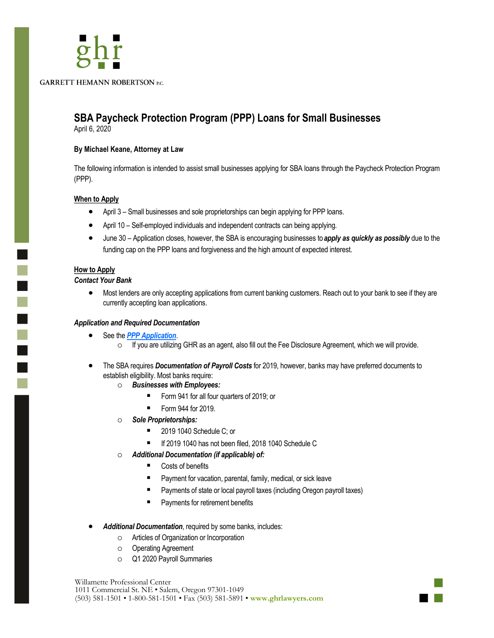**GARRETT HEMANN ROBERTSON P.C.** 

# **SBA Paycheck Protection Program (PPP) Loans for Small Businesses**

April 6, 2020

## **By Michael Keane, Attorney at Law**

The following information is intended to assist small businesses applying for SBA loans through the Paycheck Protection Program (PPP).

#### **When to Apply**

- April 3 Small businesses and sole proprietorships can begin applying for PPP loans.
- April 10 Self-employed individuals and independent contracts can being applying.
- June 30 Application closes, however, the SBA is encouraging businesses to *apply as quickly as possibly* due to the funding cap on the PPP loans and forgiveness and the high amount of expected interest.

## **How to Apply**

 $\mathbb{R}^2$ 

 $\blacksquare$ 

T

#### *Contact Your Bank*

• Most lenders are only accepting applications from current banking customers. Reach out to your bank to see if they are currently accepting loan applications.

#### *Application and Required Documentation*

- See the *[PPP Application](https://home.treasury.gov/system/files/136/Paycheck-Protection-Program-Application-3-30-2020-v3.pdf)*.
	- If you are utilizing GHR as an agent, also fill out the Fee Disclosure Agreement, which we will provide.
- The SBA requires *Documentation of Payroll Costs* for 2019, however, banks may have preferred documents to establish eligibility. Most banks require:
	- *Businesses with Employees:*
		- Form 941 for all four quarters of 2019; or
		- Form 944 for 2019.
	- *Sole Proprietorships:*
		- 2019 1040 Schedule C; or
		- If 2019 1040 has not been filed, 2018 1040 Schedule C
	- *Additional Documentation (if applicable) of:*
		- Costs of benefits
		- Payment for vacation, parental, family, medical, or sick leave
		- Payments of state or local payroll taxes (including Oregon payroll taxes)
		- Payments for retirement benefits
- *Additional Documentation*, required by some banks, includes:
	- Articles of Organization or Incorporation
	- Operating Agreement
	- Q1 2020 Payroll Summaries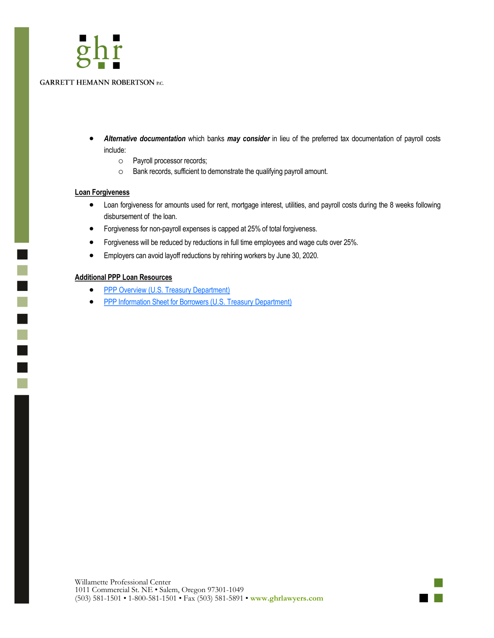

- *Alternative documentation* which banks *may consider* in lieu of the preferred tax documentation of payroll costs include:
	- Payroll processor records;
	- Bank records, sufficient to demonstrate the qualifying payroll amount.

#### **Loan Forgiveness**

 $\overline{\phantom{0}}$  $\overline{\mathbb{R}}$ 

 $\blacksquare$ 

n.

- Loan forgiveness for amounts used for rent, mortgage interest, utilities, and payroll costs during the 8 weeks following disbursement of the loan.
- Forgiveness for non-payroll expenses is capped at 25% of total forgiveness.
- Forgiveness will be reduced by reductions in full time employees and wage cuts over 25%.
- Employers can avoid layoff reductions by rehiring workers by June 30, 2020.

#### **Additional PPP Loan Resources**

- [PPP Overview \(U.S. Treasury Department\)](https://home.treasury.gov/system/files/136/PPP%20--%20Overview.pdf)
- [PPP Information Sheet for Borrowers \(U.S. Treasury Department\)](https://home.treasury.gov/system/files/136/PPP%20Borrower%20Information%20Fact%20Sheet.pdf)

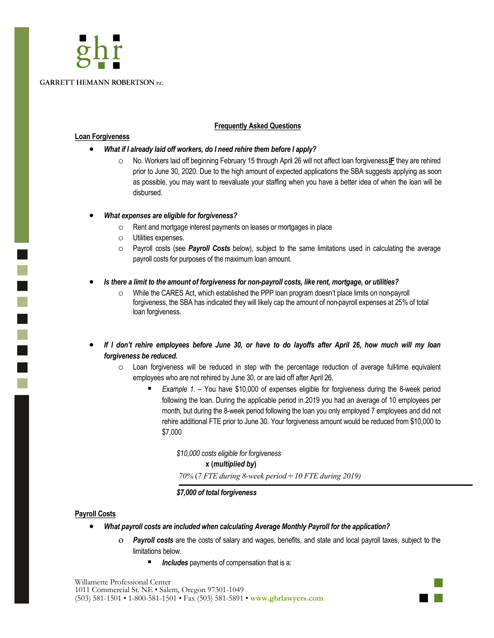# **GARRETT HEMANN ROBERTSON P.C.**

#### **Frequently Asked Questions**

#### **Loan Forgiveness**

l.

Ē

- *What if I already laid off workers, do I need rehire them before I apply?*
	- No. Workers laid off beginning February 15 through April 26 will not affect loan forgiveness **IF** they are rehired prior to June 30, 2020. Due to the high amount of expected applications the SBA suggests applying as soon as possible, you may want to reevaluate your staffing when you have a better idea of when the loan will be disbursed.
- *What expenses are eligible for forgiveness?*
	- Rent and mortgage interest payments on leases or mortgages in place
	- Utilities expenses.
	- Payroll costs (see *Payroll Costs* below), subject to the same limitations used in calculating the average payroll costs for purposes of the maximum loan amount.
- *Is there a limit to the amount of forgiveness for non-payroll costs, like rent, mortgage, or utilities?*
	- While the CARES Act, which established the PPP loan program doesn't place limits on non-payroll forgiveness, the SBA has indicated they will likely cap the amount of non-payroll expenses at 25% of total loan forgiveness.
- *If I don't rehire employees before June 30, or have to do layoffs after April 26, how much will my loan forgiveness be reduced.*
	- Loan forgiveness will be reduced in step with the percentage reduction of average full-time equivalent employees who are not rehired by June 30, or are laid off after April 26.
		- *Example 1. –* You have \$10,000 of expenses eligible for forgiveness during the 8-week period following the loan. During the applicable period in 2019 you had an average of 10 employees per month, but during the 8-week period following the loan you only employed 7 employees and did not rehire additional FTE prior to June 30. Your forgiveness amount would be reduced from \$10,000 to \$7,000

*\$10,000 costs eligible for forgiveness* **x (***multiplied by***)** *70%* (*7 FTE during 8-week period ÷ 10 FTE during 2019)* 

*\$7,000 of total forgiveness*

#### **Payroll Costs**

- *What payroll costs are included when calculating Average Monthly Payroll for the application?*
	- *Payroll costs* are the costs of salary and wages, benefits, and state and local payroll taxes, subject to the limitations below.
		- **Includes** payments of compensation that is a:

Willamette Professional Center 1011 Commercial St. NE • Salem, Oregon 97301-1049 (503) 581-1501 • 1-800-581-1501 • Fax (503) 581-5891 • **www.ghrlawyers.com**